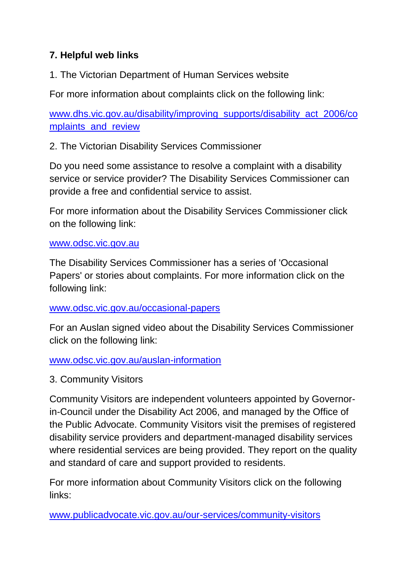## **7. Helpful web links**

1. The Victorian Department of Human Services website

For more information about complaints click on the following link:

[www.dhs.vic.gov.au/disability/improving\\_supports/disability\\_act\\_2006/co](http://www.dhs.vic.gov.au/disability/improving_supports/disability_act_2006/complaints_and_review) mplaints and review

2. The Victorian Disability Services Commissioner

Do you need some assistance to resolve a complaint with a disability service or service provider? The Disability Services Commissioner can provide a free and confidential service to assist.

For more information about the Disability Services Commissioner click on the following link:

## [www.odsc.vic.gov.au](http://www.odsc.vic.gov.au/)

The Disability Services Commissioner has a series of 'Occasional Papers' or stories about complaints. For more information click on the following link:

## [www.odsc.vic.gov.au/occasional-papers](http://www.odsc.vic.gov.au/occasional-papers)

For an Auslan signed video about the Disability Services Commissioner click on the following link:

[www.odsc.vic.gov.au/auslan-information](http://www.odsc.vic.gov.au/auslan-information)

3. Community Visitors

Community Visitors are independent volunteers appointed by Governorin-Council under the Disability Act 2006, and managed by the Office of the Public Advocate. Community Visitors visit the premises of registered disability service providers and department-managed disability services where residential services are being provided. They report on the quality and standard of care and support provided to residents.

For more information about Community Visitors click on the following links:

[www.publicadvocate.vic.gov.au/our-services/community-visitors](http://www.publicadvocate.vic.gov.au/our-services/community-visitors)